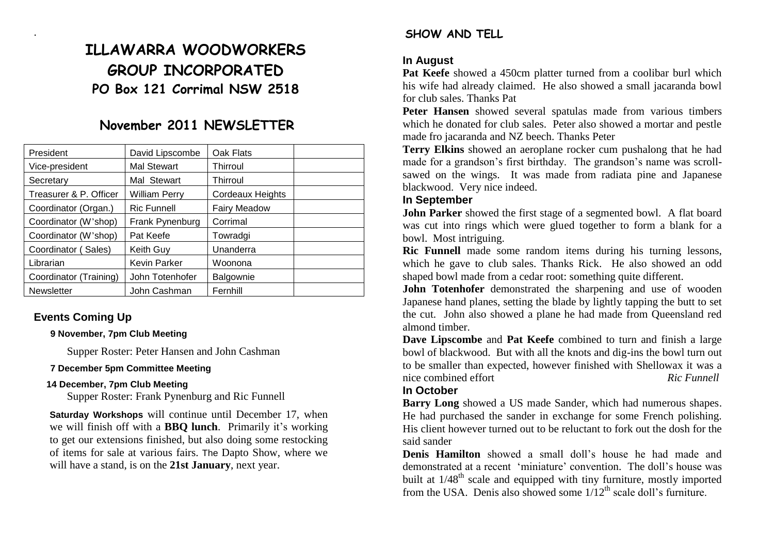# **ILLAWARRA WOODWORKERS GROUP INCORPORATED PO Box 121 Corrimal NSW 2518**

## **November 2011 NEWSLETTER**

| President              | David Lipscombe      | Oak Flats           |  |
|------------------------|----------------------|---------------------|--|
| Vice-president         | <b>Mal Stewart</b>   | Thirroul            |  |
| Secretary              | Mal Stewart          | Thirroul            |  |
| Treasurer & P. Officer | <b>William Perry</b> | Cordeaux Heights    |  |
| Coordinator (Organ.)   | <b>Ric Funnell</b>   | <b>Fairy Meadow</b> |  |
| Coordinator (W'shop)   | Frank Pynenburg      | Corrimal            |  |
| Coordinator (W'shop)   | Pat Keefe            | Towradgi            |  |
| Coordinator (Sales)    | Keith Guy            | Unanderra           |  |
| Librarian              | <b>Kevin Parker</b>  | Woonona             |  |
| Coordinator (Training) | John Totenhofer      | Balgownie           |  |
| <b>Newsletter</b>      | John Cashman         | Fernhill            |  |

## **Events Coming Up**

.

#### **9 November, 7pm Club Meeting**

Supper Roster: Peter Hansen and John Cashman

#### **7 December 5pm Committee Meeting**

#### **14 December, 7pm Club Meeting**

Supper Roster: Frank Pynenburg and Ric Funnell

**Saturday Workshops** will continue until December 17, when we will finish off with a **BBQ lunch**. Primarily it's working to get our extensions finished, but also doing some restocking of items for sale at various fairs. The Dapto Show, where we will have a stand, is on the **21st January**, next year.

## **SHOW AND TELL**

#### **In August**

Pat Keefe showed a 450cm platter turned from a coolibar burl which his wife had already claimed. He also showed a small jacaranda bowl for club sales. Thanks Pat

**Peter Hansen** showed several spatulas made from various timbers which he donated for club sales. Peter also showed a mortar and pestle made fro jacaranda and NZ beech. Thanks Peter

**Terry Elkins** showed an aeroplane rocker cum pushalong that he had made for a grandson's first birthday. The grandson's name was scrollsawed on the wings. It was made from radiata pine and Japanese blackwood. Very nice indeed.

#### **In September**

**John Parker** showed the first stage of a segmented bowl. A flat board was cut into rings which were glued together to form a blank for a bowl. Most intriguing.

**Ric Funnell** made some random items during his turning lessons, which he gave to club sales. Thanks Rick. He also showed an odd shaped bowl made from a cedar root: something quite different.

**John Totenhofer** demonstrated the sharpening and use of wooden Japanese hand planes, setting the blade by lightly tapping the butt to set the cut. John also showed a plane he had made from Queensland red almond timber.

**Dave Lipscombe** and **Pat Keefe** combined to turn and finish a large bowl of blackwood. But with all the knots and dig-ins the bowl turn out to be smaller than expected, however finished with Shellowax it was a nice combined effort *Ric Ric Funnell* 

#### **In October**

**Barry Long** showed a US made Sander, which had numerous shapes. He had purchased the sander in exchange for some French polishing. His client however turned out to be reluctant to fork out the dosh for the said sander

**Denis Hamilton** showed a small doll's house he had made and demonstrated at a recent 'miniature' convention. The doll's house was built at  $1/48<sup>th</sup>$  scale and equipped with tiny furniture, mostly imported from the USA. Denis also showed some  $1/12<sup>th</sup>$  scale doll's furniture.